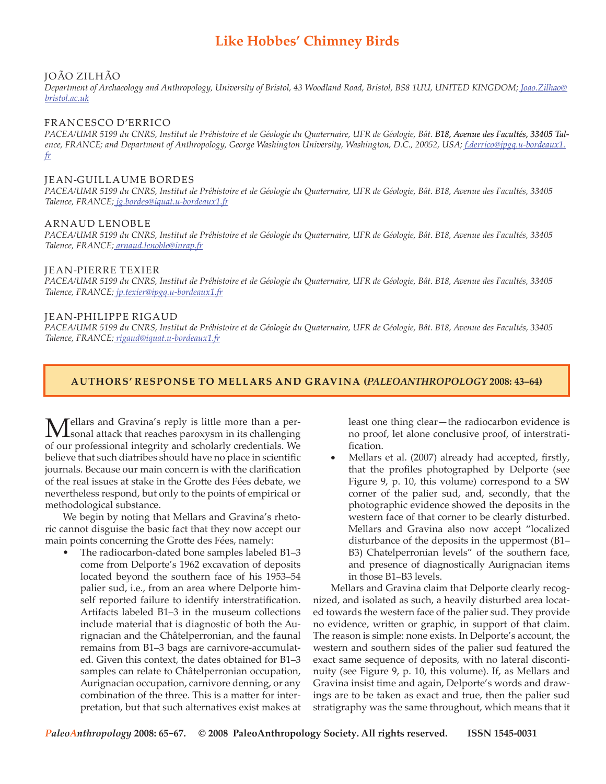# **Like Hobbes' Chimney Birds**

## João ZILHÃO

*Department of Archaeology and Anthropology, University of Bristol, 43 Woodland Road, Bristol, BS8 1UU, UNITED KINGDOM; Joao.Zilhao@ bristol.ac.uk*

## Francesco d'ERRICO

*PACEA/UMR 5199 du CNRS, Institut de Préhistoire et de Géologie du Quaternaire, UFR de Géologie, Bât. B18, Avenue des Facultés, 334�5 Tal� ence, FRANCE; and Department of Anthropology, George Washington University, Washington, D.C., 20052, USA; f.derrico@jpgq.u-bordeaux1. fr*

#### Jean-Guillaume BORDES

*PACEA/UMR 5199 du CNRS, Institut de Préhistoire et de Géologie du Quaternaire, UFR de Géologie, Bât. B18, Avenue des Facultés, 33405 Talence, FRANCE; jg.bordes@iquat.u-bordeaux1.fr*

#### Arnaud LENOBLE

*PACEA/UMR 5199 du CNRS, Institut de Préhistoire et de Géologie du Quaternaire, UFR de Géologie, Bât. B18, Avenue des Facultés, 33405 Talence, FRANCE; arnaud.lenoble@inrap.fr*

#### Jean-Pierre TEXIER

*PACEA/UMR 5199 du CNRS, Institut de Préhistoire et de Géologie du Quaternaire, UFR de Géologie, Bât. B18, Avenue des Facultés, 33405 Talence, FRANCE; jp.texier@ipgq.u-bordeaux1.fr*

### Jean-Philippe RIGAUD

*PACEA/UMR 5199 du CNRS, Institut de Préhistoire et de Géologie du Quaternaire, UFR de Géologie, Bât. B18, Avenue des Facultés, 33405 Talence, FRANCE; rigaud@iquat.u-bordeaux1.fr*

## **authors' response to mellars and gravina (***PALEOANTHROPOLOGY* **2008: 43–64)**

Mellars and Gravina's reply is little more than a per-sonal attack that reaches paroxysm in its challenging of our professional integrity and scholarly credentials. We believe that such diatribes should have no place in scientific journals. Because our main concern is with the clarification of the real issues at stake in the Grotte des Fées debate, we nevertheless respond, but only to the points of empirical or methodological substance.

We begin by noting that Mellars and Gravina's rhetoric cannot disguise the basic fact that they now accept our main points concerning the Grotte des Fées, namely:

The radiocarbon-dated bone samples labeled B1–3 come from Delporte's 1962 excavation of deposits located beyond the southern face of his 1953–54 palier sud, i.e., from an area where Delporte himself reported failure to identify interstratification. Artifacts labeled B1–3 in the museum collections include material that is diagnostic of both the Aurignacian and the Châtelperronian, and the faunal remains from B1–3 bags are carnivore-accumulated. Given this context, the dates obtained for B1–3 samples can relate to Châtelperronian occupation, Aurignacian occupation, carnivore denning, or any combination of the three. This is a matter for interpretation, but that such alternatives exist makes at •

least one thing clear—the radiocarbon evidence is no proof, let alone conclusive proof, of interstratification.

Mellars et al. (2007) already had accepted, firstly, that the profiles photographed by Delporte (see Figure 9, p. 10, this volume) correspond to a SW corner of the palier sud, and, secondly, that the photographic evidence showed the deposits in the western face of that corner to be clearly disturbed. Mellars and Gravina also now accept "localized disturbance of the deposits in the uppermost (B1– B3) Chatelperronian levels" of the southern face, and presence of diagnostically Aurignacian items in those B1–B3 levels. •

Mellars and Gravina claim that Delporte clearly recognized, and isolated as such, a heavily disturbed area located towards the western face of the palier sud. They provide no evidence, written or graphic, in support of that claim. The reason is simple: none exists. In Delporte's account, the western and southern sides of the palier sud featured the exact same sequence of deposits, with no lateral discontinuity (see Figure 9, p. 10, this volume). If, as Mellars and Gravina insist time and again, Delporte's words and drawings are to be taken as exact and true, then the palier sud stratigraphy was the same throughout, which means that it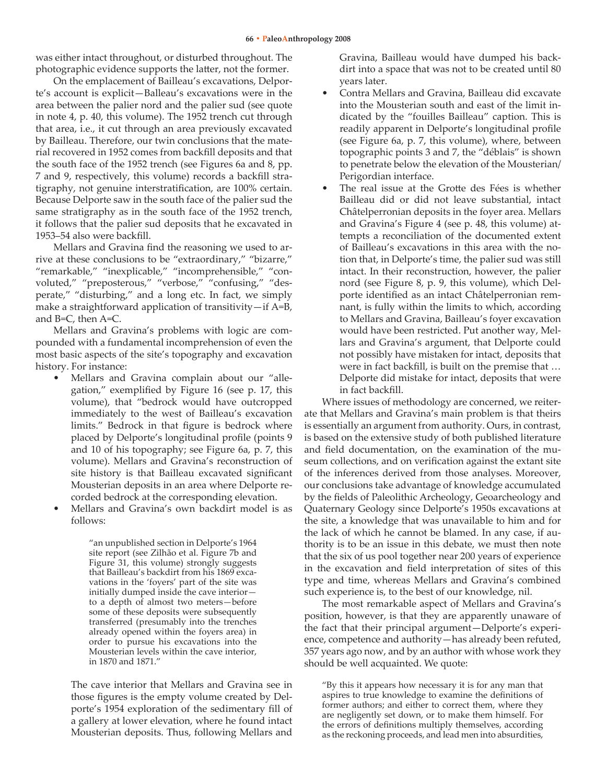was either intact throughout, or disturbed throughout. The photographic evidence supports the latter, not the former.

On the emplacement of Bailleau's excavations, Delporte's account is explicit—Balleau's excavations were in the area between the palier nord and the palier sud (see quote in note 4, p. 40, this volume). The 1952 trench cut through that area, i.e., it cut through an area previously excavated by Bailleau. Therefore, our twin conclusions that the material recovered in 1952 comes from backfill deposits and that the south face of the 1952 trench (see Figures 6a and 8, pp. 7 and 9, respectively, this volume) records a backfill stratigraphy, not genuine interstratification, are 100% certain. Because Delporte saw in the south face of the palier sud the same stratigraphy as in the south face of the 1952 trench, it follows that the palier sud deposits that he excavated in 1953–54 also were backfill.

Mellars and Gravina find the reasoning we used to arrive at these conclusions to be "extraordinary," "bizarre," "remarkable," "inexplicable," "incomprehensible," "convoluted," "preposterous," "verbose," "confusing," "desperate," "disturbing," and a long etc. In fact, we simply make a straightforward application of transitivity-if A=B, and B=C, then A=C.

Mellars and Gravina's problems with logic are compounded with a fundamental incomprehension of even the most basic aspects of the site's topography and excavation history. For instance:

- Mellars and Gravina complain about our "allegation," exemplified by Figure 16 (see p. 17, this volume), that "bedrock would have outcropped immediately to the west of Bailleau's excavation limits." Bedrock in that figure is bedrock where placed by Delporte's longitudinal profile (points 9 and 10 of his topography; see Figure 6a, p. 7, this volume). Mellars and Gravina's reconstruction of site history is that Bailleau excavated significant Mousterian deposits in an area where Delporte recorded bedrock at the corresponding elevation. •
- Mellars and Gravina's own backdirt model is as follows: •

"an unpublished section in Delporte's 1964 site report (see Zilhão et al. Figure 7b and Figure 31, this volume) strongly suggests that Bailleau's backdirt from his 1869 excavations in the 'foyers' part of the site was initially dumped inside the cave interior to a depth of almost two meters—before some of these deposits were subsequently transferred (presumably into the trenches already opened within the foyers area) in order to pursue his excavations into the Mousterian levels within the cave interior, in 1870 and 1871."

The cave interior that Mellars and Gravina see in those figures is the empty volume created by Delporte's 1954 exploration of the sedimentary fill of a gallery at lower elevation, where he found intact Mousterian deposits. Thus, following Mellars and Gravina, Bailleau would have dumped his backdirt into a space that was not to be created until 80 years later.

- Contra Mellars and Gravina, Bailleau did excavate into the Mousterian south and east of the limit indicated by the "fouilles Bailleau" caption. This is readily apparent in Delporte's longitudinal profile (see Figure 6a, p. 7, this volume), where, between topographic points 3 and 7, the "déblais" is shown to penetrate below the elevation of the Mousterian/ Perigordian interface. •
- The real issue at the Grotte des Fées is whether Bailleau did or did not leave substantial, intact Châtelperronian deposits in the foyer area. Mellars and Gravina's Figure 4 (see p. 48, this volume) attempts a reconciliation of the documented extent of Bailleau's excavations in this area with the notion that, in Delporte's time, the palier sud was still intact. In their reconstruction, however, the palier nord (see Figure 8, p. 9, this volume), which Delporte identified as an intact Châtelperronian remnant, is fully within the limits to which, according to Mellars and Gravina, Bailleau's foyer excavation would have been restricted. Put another way, Mellars and Gravina's argument, that Delporte could not possibly have mistaken for intact, deposits that were in fact backfill, is built on the premise that … Delporte did mistake for intact, deposits that were in fact backfill. •

Where issues of methodology are concerned, we reiterate that Mellars and Gravina's main problem is that theirs is essentially an argument from authority. Ours, in contrast, is based on the extensive study of both published literature and field documentation, on the examination of the museum collections, and on verification against the extant site of the inferences derived from those analyses. Moreover, our conclusions take advantage of knowledge accumulated by the fields of Paleolithic Archeology, Geoarcheology and Quaternary Geology since Delporte's 1950s excavations at the site, a knowledge that was unavailable to him and for the lack of which he cannot be blamed. In any case, if authority is to be an issue in this debate, we must then note that the six of us pool together near 200 years of experience in the excavation and field interpretation of sites of this type and time, whereas Mellars and Gravina's combined such experience is, to the best of our knowledge, nil.

The most remarkable aspect of Mellars and Gravina's position, however, is that they are apparently unaware of the fact that their principal argument—Delporte's experience, competence and authority—has already been refuted, 357 years ago now, and by an author with whose work they should be well acquainted. We quote:

"By this it appears how necessary it is for any man that aspires to true knowledge to examine the definitions of former authors; and either to correct them, where they are negligently set down, or to make them himself. For the errors of definitions multiply themselves, according as the reckoning proceeds, and lead men into absurdities,